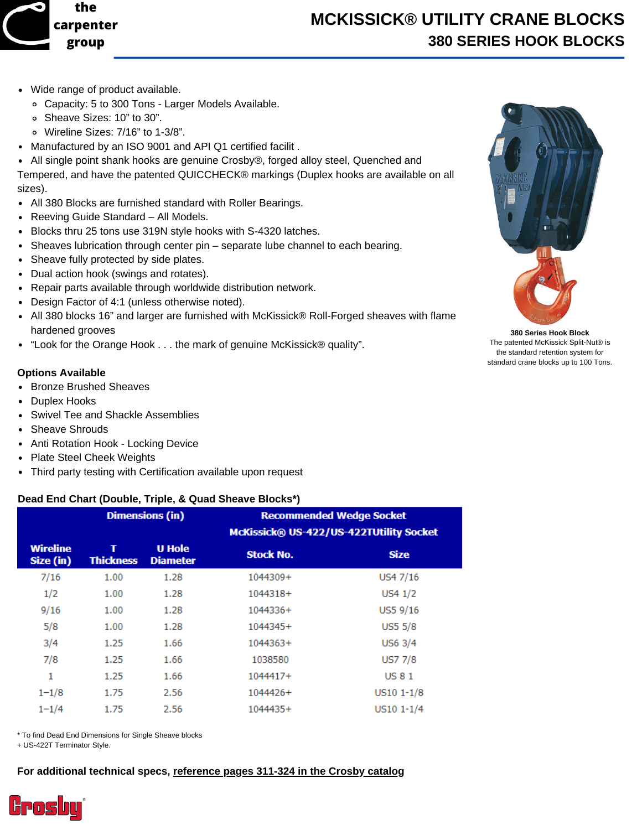

## **MCKISSICK® UTILITY CRANE BLOCKS 380 SERIES HOOK BLOCKS**

- Wide range of product available.
	- Capacity: 5 to 300 Tons Larger Models Available.
	- Sheave Sizes: 10" to 30".
	- Wireline Sizes: 7/16" to 1-3/8".
- Manufactured by an ISO 9001 and API Q1 certified facilit .

All single point shank hooks are genuine Crosby®, forged alloy steel, Quenched and Tempered, and have the patented QUICCHECK® markings (Duplex hooks are available on all sizes).

- All 380 Blocks are furnished standard with Roller Bearings.
- Reeving Guide Standard All Models.
- Blocks thru 25 tons use 319N style hooks with S-4320 latches.
- $\bullet$  Sheaves lubrication through center pin separate lube channel to each bearing.
- Sheave fully protected by side plates.
- Dual action hook (swings and rotates).
- Repair parts available through worldwide distribution network.
- Design Factor of 4:1 (unless otherwise noted).
- All 380 blocks 16" and larger are furnished with McKissick® Roll-Forged sheaves with flame hardened grooves
- "Look for the Orange Hook . . . the mark of genuine McKissick® quality".

### **Options Available**

- Bronze Brushed Sheaves
- Duplex Hooks
- Swivel Tee and Shackle Assemblies
- Sheave Shrouds
- Anti Rotation Hook Locking Device
- Plate Steel Cheek Weights
- Third party testing with Certification available upon request

#### **Dead End Chart (Double, Triple, & Quad Sheave Blocks\*)**

|                              | <b>Dimensions (in)</b> |                                  | <b>Recommended Wedge Socket</b>         |                |
|------------------------------|------------------------|----------------------------------|-----------------------------------------|----------------|
|                              |                        |                                  | McKissick® US-422/US-422TUtility Socket |                |
| <b>Wireline</b><br>Size (in) | т<br><b>Thickness</b>  | <b>U</b> Hole<br><b>Diameter</b> | <b>Stock No.</b>                        | <b>Size</b>    |
| 7/16                         | 1.00                   | 1.28                             | 1044309+                                | US4 7/16       |
| 1/2                          | 1.00                   | 1.28                             | 1044318+                                | US41/2         |
| 9/16                         | 1.00                   | 1.28                             | 1044336+                                | US5 9/16       |
| 5/8                          | 1.00                   | 1.28                             | 1044345+                                | <b>US5 5/8</b> |
| 3/4                          | 1.25                   | 1.66                             | 1044363+                                | US6 3/4        |
| 7/8                          | 1.25                   | 1.66                             | 1038580                                 | <b>US7 7/8</b> |
| 1                            | 1.25                   | 1.66                             | 1044417+                                | <b>US 81</b>   |
| $1 - 1/8$                    | 1.75                   | 2.56                             | 1044426+                                | $US10 1 - 1/8$ |
| $1 - 1/4$                    | 1.75                   | 2.56                             | 1044435+                                | $US10 1 - 1/4$ |

\* To find Dead End Dimensions for Single Sheave blocks

+ US-422T Terminator Style.

#### **For additional technical specs, [reference](https://www.thecrosbygroup.com/catalog/mckissick-blocks/mckissick-380-series-hook-blocks/?view=catalog) pages 311-324 in the Crosby catalog**





**380 Series Hook Block** The patented McKissick Split-Nut® is the standard retention system for standard crane blocks up to 100 Tons.